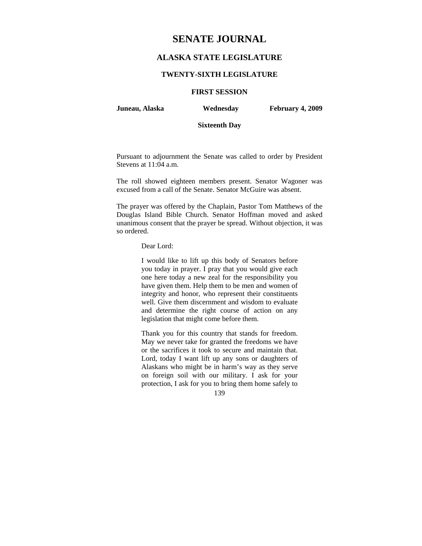# **SENATE JOURNAL**

# **ALASKA STATE LEGISLATURE**

#### **TWENTY-SIXTH LEGISLATURE**

# **FIRST SESSION**

**Juneau, Alaska Wednesday February 4, 2009** 

# **Sixteenth Day**

Pursuant to adjournment the Senate was called to order by President Stevens at 11:04 a.m.

The roll showed eighteen members present. Senator Wagoner was excused from a call of the Senate. Senator McGuire was absent.

The prayer was offered by the Chaplain, Pastor Tom Matthews of the Douglas Island Bible Church. Senator Hoffman moved and asked unanimous consent that the prayer be spread. Without objection, it was so ordered.

Dear Lord:

I would like to lift up this body of Senators before you today in prayer. I pray that you would give each one here today a new zeal for the responsibility you have given them. Help them to be men and women of integrity and honor, who represent their constituents well. Give them discernment and wisdom to evaluate and determine the right course of action on any legislation that might come before them.

Thank you for this country that stands for freedom. May we never take for granted the freedoms we have or the sacrifices it took to secure and maintain that. Lord, today I want lift up any sons or daughters of Alaskans who might be in harm's way as they serve on foreign soil with our military. I ask for your protection, I ask for you to bring them home safely to

139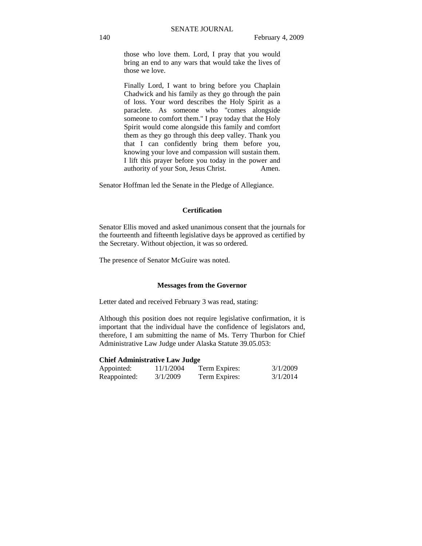those who love them. Lord, I pray that you would bring an end to any wars that would take the lives of those we love.

Finally Lord, I want to bring before you Chaplain Chadwick and his family as they go through the pain of loss. Your word describes the Holy Spirit as a paraclete. As someone who "comes alongside someone to comfort them." I pray today that the Holy Spirit would come alongside this family and comfort them as they go through this deep valley. Thank you that I can confidently bring them before you, knowing your love and compassion will sustain them. I lift this prayer before you today in the power and authority of your Son, Jesus Christ. Amen.

Senator Hoffman led the Senate in the Pledge of Allegiance.

# **Certification**

Senator Ellis moved and asked unanimous consent that the journals for the fourteenth and fifteenth legislative days be approved as certified by the Secretary. Without objection, it was so ordered.

The presence of Senator McGuire was noted.

#### **Messages from the Governor**

Letter dated and received February 3 was read, stating:

Although this position does not require legislative confirmation, it is important that the individual have the confidence of legislators and, therefore, I am submitting the name of Ms. Terry Thurbon for Chief Administrative Law Judge under Alaska Statute 39.05.053:

#### **Chief Administrative Law Judge**

| Appointed:   | 11/1/2004 | Term Expires: | 3/1/2009 |
|--------------|-----------|---------------|----------|
| Reappointed: | 3/1/2009  | Term Expires: | 3/1/2014 |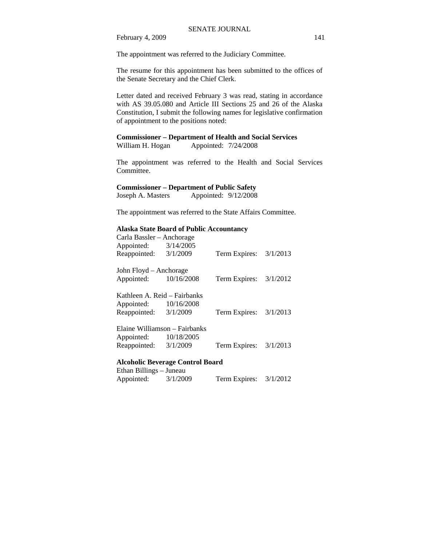The appointment was referred to the Judiciary Committee.

The resume for this appointment has been submitted to the offices of the Senate Secretary and the Chief Clerk.

Letter dated and received February 3 was read, stating in accordance with AS 39.05.080 and Article III Sections 25 and 26 of the Alaska Constitution, I submit the following names for legislative confirmation of appointment to the positions noted:

# **Commissioner – Department of Health and Social Services**

William H. Hogan Appointed:  $7/24/2008$ 

The appointment was referred to the Health and Social Services Committee.

#### **Commissioner – Department of Public Safety**

Joseph A. Masters Appointed:  $9/12/2008$ 

The appointment was referred to the State Affairs Committee.

# **Alaska State Board of Public Accountancy**

| Carla Bassler – Anchorage     |           |                          |  |
|-------------------------------|-----------|--------------------------|--|
| Appointed:                    | 3/14/2005 |                          |  |
| Reappointed:                  | 3/1/2009  | Term Expires: $3/1/2013$ |  |
| John Floyd – Anchorage        |           |                          |  |
| Appointed: 10/16/2008         |           | Term Expires: $3/1/2012$ |  |
| Kathleen A. Reid – Fairbanks  |           |                          |  |
| Appointed: 10/16/2008         |           |                          |  |
| Reappointed: 3/1/2009         |           | Term Expires: $3/1/2013$ |  |
| Elaine Williamson – Fairbanks |           |                          |  |
| Appointed: 10/18/2005         |           |                          |  |
| Reappointed: 3/1/2009         |           | Term Expires: $3/1/2013$ |  |

#### **Alcoholic Beverage Control Board**  Ethan Billings – Juneau

| Ethan Billings – Juneau |          |               |          |
|-------------------------|----------|---------------|----------|
| Appointed:              | 3/1/2009 | Term Expires: | 3/1/2012 |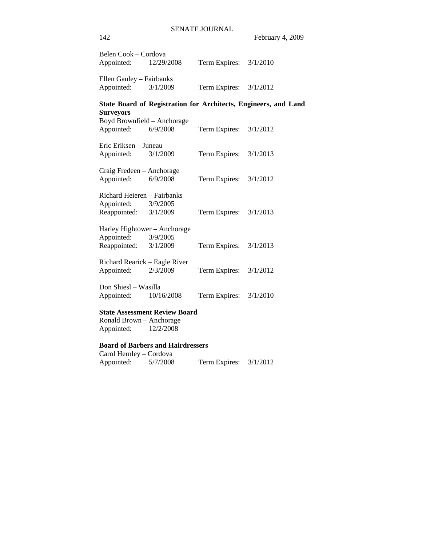| Belen Cook - Cordova<br>Appointed: | 12/29/2008                           | Term Expires: $3/1/2010$ |                                                                 |
|------------------------------------|--------------------------------------|--------------------------|-----------------------------------------------------------------|
| Ellen Ganley - Fairbanks           |                                      |                          |                                                                 |
| Appointed:                         | 3/1/2009                             | Term Expires: $3/1/2012$ |                                                                 |
| <b>Surveyors</b>                   |                                      |                          | State Board of Registration for Architects, Engineers, and Land |
|                                    | Boyd Brownfield - Anchorage          |                          |                                                                 |
| Appointed:                         | 6/9/2008                             | Term Expires: $3/1/2012$ |                                                                 |
| Eric Eriksen - Juneau              |                                      |                          |                                                                 |
| Appointed:                         | 3/1/2009                             | Term Expires: $3/1/2013$ |                                                                 |
| Craig Fredeen - Anchorage          |                                      |                          |                                                                 |
| Appointed:                         | 6/9/2008                             | Term Expires: $3/1/2012$ |                                                                 |
| Richard Heieren - Fairbanks        |                                      |                          |                                                                 |
| Appointed:                         | 3/9/2005                             |                          |                                                                 |
| Reappointed: $3/1/2009$            |                                      | Term Expires: $3/1/2013$ |                                                                 |
|                                    | Harley Hightower - Anchorage         |                          |                                                                 |
| Appointed: 3/9/2005                |                                      |                          |                                                                 |
| Reappointed: $3/1/2009$            |                                      | Term Expires: $3/1/2013$ |                                                                 |
| Richard Rearick - Eagle River      |                                      |                          |                                                                 |
| Appointed:                         | 2/3/2009                             | Term Expires: $3/1/2012$ |                                                                 |
| Don Shiesl - Wasilla               |                                      |                          |                                                                 |
| Appointed:                         | 10/16/2008                           | Term Expires: 3/1/2010   |                                                                 |
|                                    | <b>State Assessment Review Board</b> |                          |                                                                 |
| Ronald Brown - Anchorage           |                                      |                          |                                                                 |

Appointed: 12/2/2008

# **Board of Barbers and Hairdressers**

| Carol Hernley – Cordova |          |               |          |
|-------------------------|----------|---------------|----------|
| Appointed:              | 5/7/2008 | Term Expires: | 3/1/2012 |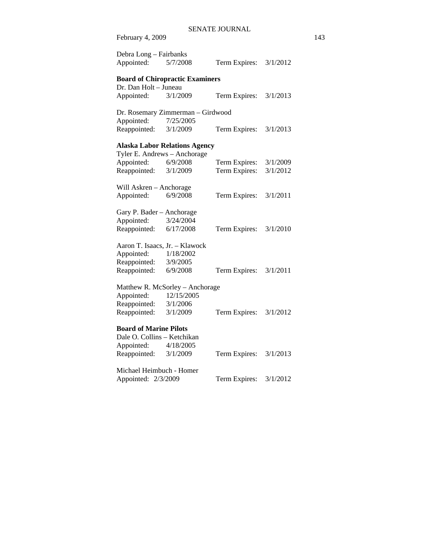| February 4, 2009                       |                                      |                          |          |  |
|----------------------------------------|--------------------------------------|--------------------------|----------|--|
| Debra Long - Fairbanks<br>Appointed:   | 5/7/2008                             | Term Expires:            | 3/1/2012 |  |
| <b>Board of Chiropractic Examiners</b> |                                      |                          |          |  |
| Dr. Dan Holt - Juneau                  |                                      |                          |          |  |
| Appointed:                             | 3/1/2009                             | Term Expires:            | 3/1/2013 |  |
| Dr. Rosemary Zimmerman - Girdwood      |                                      |                          |          |  |
| Appointed:                             | 7/25/2005                            |                          |          |  |
| Reappointed:                           | 3/1/2009                             | Term Expires:            | 3/1/2013 |  |
|                                        | <b>Alaska Labor Relations Agency</b> |                          |          |  |
| Tyler E. Andrews - Anchorage           |                                      |                          |          |  |
| Appointed:                             | 6/9/2008                             | Term Expires:            | 3/1/2009 |  |
| Reappointed:                           | 3/1/2009                             | Term Expires:            | 3/1/2012 |  |
| Will Askren - Anchorage                |                                      |                          |          |  |
| Appointed:                             | 6/9/2008                             | Term Expires:            | 3/1/2011 |  |
| Gary P. Bader - Anchorage              |                                      |                          |          |  |
| Appointed:                             | 3/24/2004                            |                          |          |  |
| Reappointed:                           | 6/17/2008                            | Term Expires:            | 3/1/2010 |  |
|                                        | Aaron T. Isaacs, Jr. - Klawock       |                          |          |  |
| Appointed:                             | 1/18/2002                            |                          |          |  |
| Reappointed:                           | 3/9/2005                             |                          |          |  |
| Reappointed:                           | 6/9/2008                             | Term Expires: $3/1/2011$ |          |  |
| Matthew R. McSorley - Anchorage        |                                      |                          |          |  |
| Appointed:                             | 12/15/2005                           |                          |          |  |
| Reappointed:                           | 3/1/2006                             |                          |          |  |
| Reappointed:                           | 3/1/2009                             | Term Expires:            | 3/1/2012 |  |
| <b>Board of Marine Pilots</b>          |                                      |                          |          |  |
| Dale O. Collins - Ketchikan            |                                      |                          |          |  |
| Appointed:                             | 4/18/2005                            |                          |          |  |
| Reappointed:                           | 3/1/2009                             | Term Expires:            | 3/1/2013 |  |
| Michael Heimbuch - Homer               |                                      |                          |          |  |
| Appointed: 2/3/2009                    |                                      | Term Expires:            | 3/1/2012 |  |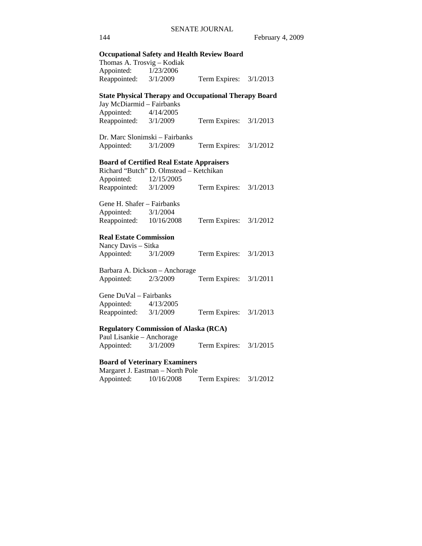# 144 February 4, 2009 **Occupational Safety and Health Review Board**  Thomas A. Trosvig – Kodiak Appointed: 1/23/2006 Reappointed: 3/1/2009 Term Expires: 3/1/2013 **State Physical Therapy and Occupational Therapy Board**  Jay McDiarmid – Fairbanks Appointed: 4/14/2005 Reappointed: 3/1/2009 Term Expires: 3/1/2013 Dr. Marc Slonimski – Fairbanks Appointed: 3/1/2009 Term Expires: 3/1/2012 **Board of Certified Real Estate Appraisers**  Richard "Butch" D. Olmstead – Ketchikan Appointed: 12/15/2005 Reappointed: 3/1/2009 Term Expires: 3/1/2013 Gene H. Shafer – Fairbanks Appointed: 3/1/2004 Reappointed: 10/16/2008 Term Expires: 3/1/2012 **Real Estate Commission**  Nancy Davis – Sitka Appointed: 3/1/2009 Term Expires: 3/1/2013 Barbara A. Dickson – Anchorage Appointed: 2/3/2009 Term Expires: 3/1/2011 Gene DuVal – Fairbanks Appointed: 4/13/2005 Reappointed: 3/1/2009 Term Expires: 3/1/2013 **Regulatory Commission of Alaska (RCA)**  Paul Lisankie – Anchorage Appointed: 3/1/2009 Term Expires: 3/1/2015 **Board of Veterinary Examiners**  Margaret J. Eastman – North Pole Appointed: 10/16/2008 Term Expires: 3/1/2012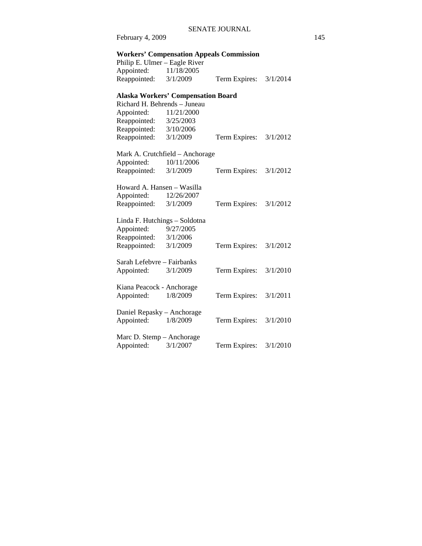# **Workers' Compensation Appeals Commission**

| Philip E. Ulmer – Eagle River |            |               |          |
|-------------------------------|------------|---------------|----------|
| Appointed:                    | 11/18/2005 |               |          |
| Reappointed:                  | 3/1/2009   | Term Expires: | 3/1/2014 |

# **Alaska Workers' Compensation Board**

| Richard H. Behrends - Juneau  |                                 |               |          |
|-------------------------------|---------------------------------|---------------|----------|
| Appointed:                    | 11/21/2000                      |               |          |
| Reappointed:                  | 3/25/2003                       |               |          |
| Reappointed:                  | 3/10/2006                       |               |          |
| Reappointed:                  | 3/1/2009                        | Term Expires: | 3/1/2012 |
|                               |                                 |               |          |
|                               | Mark A. Crutchfield – Anchorage |               |          |
| Appointed:                    | 10/11/2006                      |               |          |
| Reappointed:                  | 3/1/2009                        | Term Expires: | 3/1/2012 |
|                               |                                 |               |          |
| Howard A. Hansen – Wasilla    |                                 |               |          |
| Appointed:                    | 12/26/2007                      |               |          |
| Reappointed:                  | 3/1/2009                        | Term Expires: | 3/1/2012 |
|                               |                                 |               |          |
| Linda F. Hutchings – Soldotna |                                 |               |          |
| Appointed:                    | 9/27/2005                       |               |          |
| Reappointed: 3/1/2006         |                                 |               |          |
| Reappointed:                  | 3/1/2009                        | Term Expires: | 3/1/2012 |
|                               |                                 |               |          |
| Sarah Lefebvre – Fairbanks    |                                 |               |          |
| Appointed:                    | 3/1/2009                        | Term Expires: | 3/1/2010 |
|                               |                                 |               |          |
| Kiana Peacock - Anchorage     |                                 |               |          |
| Appointed:                    | 1/8/2009                        | Term Expires: | 3/1/2011 |
|                               |                                 |               |          |
| Daniel Repasky – Anchorage    |                                 |               |          |
| Appointed:                    | 1/8/2009                        | Term Expires: | 3/1/2010 |
|                               |                                 |               |          |
| Marc D. Stemp - Anchorage     |                                 |               |          |
| Appointed:                    | 3/1/2007                        | Term Expires: | 3/1/2010 |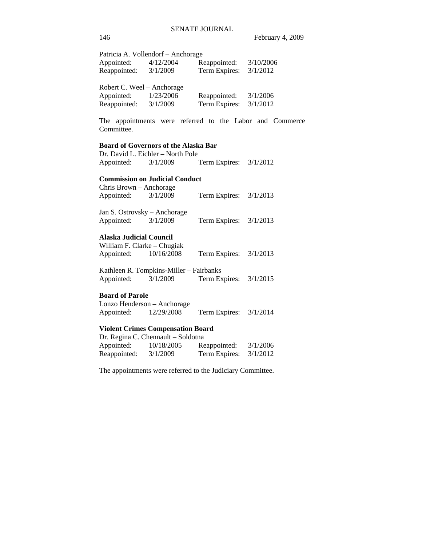| Appointed:<br>Reappointed: 3/1/2009                                 | Patricia A. Vollendorf - Anchorage<br>4/12/2004                                  | Reappointed: 3/10/2006<br>Term Expires: | 3/1/2012                                                 |
|---------------------------------------------------------------------|----------------------------------------------------------------------------------|-----------------------------------------|----------------------------------------------------------|
| Robert C. Weel – Anchorage<br>Appointed:<br>Reappointed:            | 1/23/2006<br>3/1/2009                                                            | Reappointed:<br>Term Expires:           | 3/1/2006<br>3/1/2012                                     |
| Committee.                                                          |                                                                                  |                                         | The appointments were referred to the Labor and Commerce |
|                                                                     | <b>Board of Governors of the Alaska Bar</b><br>Dr. David L. Eichler - North Pole |                                         |                                                          |
| Appointed:                                                          | 3/1/2009                                                                         | Term Expires: $3/1/2012$                |                                                          |
|                                                                     | <b>Commission on Judicial Conduct</b>                                            |                                         |                                                          |
| Chris Brown - Anchorage                                             |                                                                                  |                                         |                                                          |
| Appointed:                                                          | 3/1/2009                                                                         | Term Expires:                           | 3/1/2013                                                 |
| Jan S. Ostrovsky – Anchorage<br>Appointed:                          | 3/1/2009                                                                         | Term Expires:                           | 3/1/2013                                                 |
| <b>Alaska Judicial Council</b>                                      |                                                                                  |                                         |                                                          |
| William F. Clarke - Chugiak<br>Appointed:                           | 10/16/2008                                                                       | Term Expires:                           | 3/1/2013                                                 |
| Appointed:                                                          | Kathleen R. Tompkins-Miller - Fairbanks<br>3/1/2009                              | Term Expires:                           | 3/1/2015                                                 |
| <b>Board of Parole</b><br>Lonzo Henderson - Anchorage<br>Appointed: | 12/29/2008                                                                       | Term Expires:                           | 3/1/2014                                                 |
|                                                                     | <b>Violent Crimes Compensation Board</b>                                         |                                         |                                                          |
|                                                                     | Dr. Regina C. Chennault - Soldotna                                               |                                         |                                                          |
| Appointed:                                                          | 10/18/2005                                                                       | Reappointed:                            | 3/1/2006                                                 |
| Reappointed:                                                        | 3/1/2009                                                                         | Term Expires:                           | 3/1/2012                                                 |

The appointments were referred to the Judiciary Committee.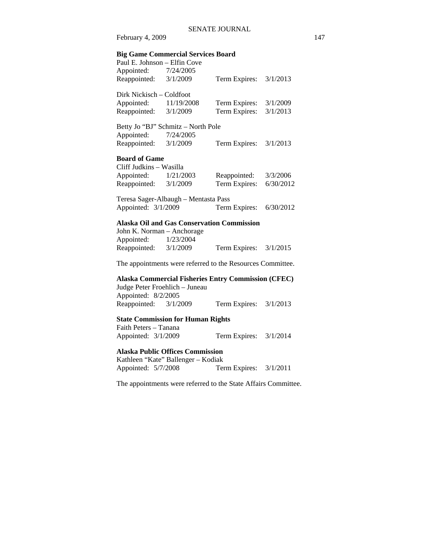# **Big Game Commercial Services Board**

| Paul E. Johnson - Elfin Cove   |                                                   |                                                            |           |
|--------------------------------|---------------------------------------------------|------------------------------------------------------------|-----------|
| Appointed: 7/24/2005           |                                                   |                                                            |           |
| Reappointed: 3/1/2009          |                                                   | Term Expires:                                              | 3/1/2013  |
| Dirk Nickisch - Coldfoot       |                                                   |                                                            |           |
| Appointed: 11/19/2008          |                                                   | Term Expires:                                              | 3/1/2009  |
| Reappointed: 3/1/2009          |                                                   | Term Expires:                                              | 3/1/2013  |
|                                | Betty Jo "BJ" Schmitz - North Pole                |                                                            |           |
| Appointed: 7/24/2005           |                                                   |                                                            |           |
| Reappointed: $3/1/2009$        |                                                   | Term Expires: 3/1/2013                                     |           |
| <b>Board of Game</b>           |                                                   |                                                            |           |
| Cliff Judkins - Wasilla        |                                                   |                                                            |           |
| Appointed: 1/21/2003           |                                                   | Reappointed: 3/3/2006                                      |           |
| Reappointed: $3/1/2009$        |                                                   | Term Expires:                                              | 6/30/2012 |
|                                | Teresa Sager-Albaugh - Mentasta Pass              |                                                            |           |
| Appointed: 3/1/2009            |                                                   | Term Expires:                                              | 6/30/2012 |
|                                | <b>Alaska Oil and Gas Conservation Commission</b> |                                                            |           |
| John K. Norman - Anchorage     |                                                   |                                                            |           |
| Appointed: 1/23/2004           |                                                   |                                                            |           |
| Reappointed: $3/1/2009$        |                                                   | Term Expires: $3/1/2015$                                   |           |
|                                |                                                   | The appointments were referred to the Resources Committee. |           |
|                                |                                                   | Alaska Commercial Fisheries Entry Commission (CFEC)        |           |
| Judge Peter Froehlich - Juneau |                                                   |                                                            |           |
| Appointed: 8/2/2005            |                                                   |                                                            |           |
| Reappointed: 3/1/2009          |                                                   | Term Expires:                                              | 3/1/2013  |

# **State Commission for Human Rights**

Faith Peters – Tanana Appointed: 3/1/2009 Term Expires: 3/1/2014

# **Alaska Public Offices Commission**

Kathleen "Kate" Ballenger – Kodiak<br>Appointed: 5/7/2008 Ter Term Expires:  $3/1/2011$ 

The appointments were referred to the State Affairs Committee.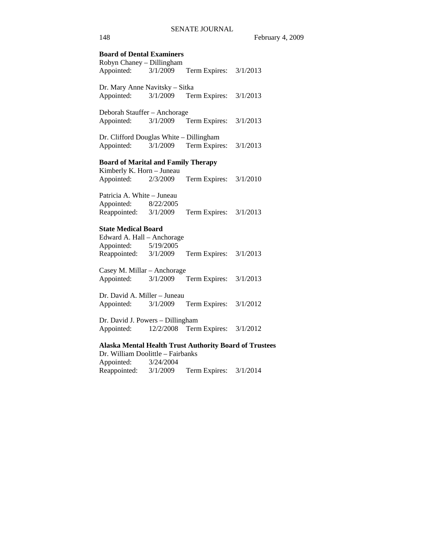**Board of Dental Examiners**  Robyn Chaney – Dillingham Appointed: 3/1/2009 Term Expires: 3/1/2013 Dr. Mary Anne Navitsky – Sitka Appointed: 3/1/2009 Term Expires: 3/1/2013 Deborah Stauffer – Anchorage Appointed: 3/1/2009 Term Expires: 3/1/2013 Dr. Clifford Douglas White – Dillingham Appointed: 3/1/2009 Term Expires: 3/1/2013 **Board of Marital and Family Therapy**  Kimberly K. Horn – Juneau Appointed: 2/3/2009 Term Expires: 3/1/2010 Patricia A. White – Juneau Appointed: 8/22/2005 Reappointed: 3/1/2009 Term Expires: 3/1/2013 **State Medical Board**  Edward A. Hall – Anchorage Appointed: 5/19/2005 Reappointed: 3/1/2009 Term Expires: 3/1/2013 Casey M. Millar – Anchorage Appointed: 3/1/2009 Term Expires: 3/1/2013 Dr. David A. Miller – Juneau Appointed: 3/1/2009 Term Expires: 3/1/2012 Dr. David J. Powers – Dillingham Appointed: 12/2/2008 Term Expires: 3/1/2012 **Alaska Mental Health Trust Authority Board of Trustees**  Dr. William Doolittle – Fairbanks Appointed: 3/24/2004 Reappointed: 3/1/2009 Term Expires: 3/1/2014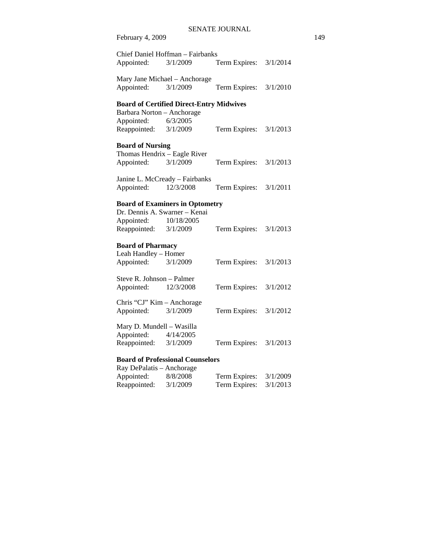| Appointed:                                                                                       | Chief Daniel Hoffman - Fairbanks<br>3/1/2009         | Term Expires: | 3/1/2014 |
|--------------------------------------------------------------------------------------------------|------------------------------------------------------|---------------|----------|
| Appointed:                                                                                       | Mary Jane Michael - Anchorage<br>3/1/2009            | Term Expires: | 3/1/2010 |
|                                                                                                  | <b>Board of Certified Direct-Entry Midwives</b>      |               |          |
| Barbara Norton - Anchorage                                                                       |                                                      |               |          |
| Appointed:                                                                                       | 6/3/2005                                             |               |          |
| Reappointed:                                                                                     | 3/1/2009                                             | Term Expires: | 3/1/2013 |
| <b>Board of Nursing</b>                                                                          |                                                      |               |          |
| Thomas Hendrix - Eagle River                                                                     |                                                      |               |          |
| Appointed:                                                                                       | 3/1/2009                                             | Term Expires: | 3/1/2013 |
|                                                                                                  | Janine L. McCready - Fairbanks                       |               |          |
| Appointed:                                                                                       | 12/3/2008                                            | Term Expires: | 3/1/2011 |
| Dr. Dennis A. Swarner - Kenai<br>Appointed:<br>Reappointed: 3/1/2009<br><b>Board of Pharmacy</b> | <b>Board of Examiners in Optometry</b><br>10/18/2005 | Term Expires: | 3/1/2013 |
| Leah Handley - Homer                                                                             |                                                      |               |          |
| Appointed:                                                                                       | 3/1/2009                                             | Term Expires: | 3/1/2013 |
| Steve R. Johnson - Palmer<br>Appointed:                                                          | 12/3/2008                                            | Term Expires: | 3/1/2012 |
| Chris "CJ" Kim - Anchorage                                                                       |                                                      |               |          |
| Appointed:                                                                                       | 3/1/2009                                             | Term Expires: | 3/1/2012 |
| Mary D. Mundell - Wasilla<br>Appointed:<br>Reappointed: 3/1/2009                                 | 4/14/2005                                            | Term Expires: | 3/1/2013 |
| <b>Board of Professional Counselors</b>                                                          |                                                      |               |          |

Ray DePalatis – Anchorage Appointed: 8/8/2008 Term Expires: 3/1/2009 Reappointed: 3/1/2009 Term Expires: 3/1/2013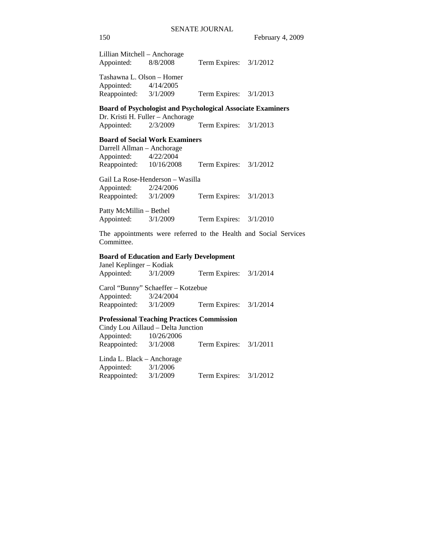| Lillian Mitchell – Anchorage |           |                          |  |
|------------------------------|-----------|--------------------------|--|
| Appointed:                   | 8/8/2008  | Term Expires: $3/1/2012$ |  |
|                              |           |                          |  |
| Tashawna L. Olson - Homer    |           |                          |  |
| Appointed:                   | 4/14/2005 |                          |  |
| Reappointed:                 | 3/1/2009  | Term Expires: $3/1/2013$ |  |
|                              |           |                          |  |

**Board of Psychologist and Psychological Associate Examiners**  Dr. Kristi H. Fuller – Anchorage<br>Appointed: 2/3/2009

Appointed: 2/3/2009 Term Expires: 3/1/2013

## **Board of Social Work Examiners**

Darrell Allman – Anchorage Appointed: 4/22/2004 Reappointed: 10/16/2008 Term Expires: 3/1/2012

Gail La Rose-Henderson – Wasilla Appointed: 2/24/2006 Reappointed: 3/1/2009 Term Expires: 3/1/2013

Patty McMillin – Bethel Appointed: 3/1/2009 Term Expires: 3/1/2010

The appointments were referred to the Health and Social Services Committee.

#### **Board of Education and Early Development**

Janel Keplinger – Kodiak Appointed: 3/1/2009 Term Expires: 3/1/2014

Carol "Bunny" Schaeffer – Kotzebue Appointed: 3/24/2004 Reappointed: 3/1/2009 Term Expires: 3/1/2014

# **Professional Teaching Practices Commission**

Cindy Lou Aillaud – Delta Junction Appointed: 10/26/2006 Reappointed: 3/1/2008 Term Expires: 3/1/2011 Linda L. Black – Anchorage

Appointed: 3/1/2006 Reappointed: 3/1/2009 Term Expires: 3/1/2012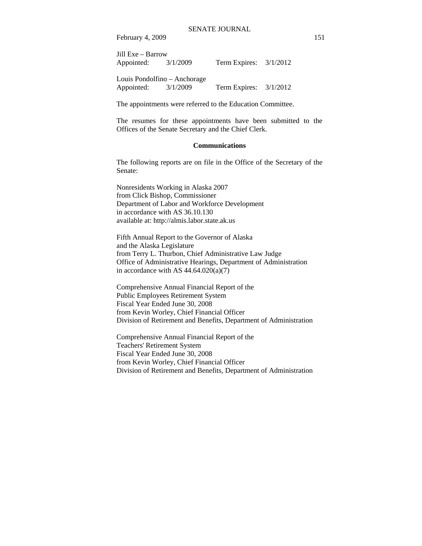| Jill Exe – Barrow     |                              |                          |  |
|-----------------------|------------------------------|--------------------------|--|
| Appointed: $3/1/2009$ |                              | Term Expires: $3/1/2012$ |  |
|                       | Louis Pondolfino – Anchorage |                          |  |
| Appointed:            | 3/1/2009                     | Term Expires: $3/1/2012$ |  |

The appointments were referred to the Education Committee.

The resumes for these appointments have been submitted to the Offices of the Senate Secretary and the Chief Clerk.

#### **Communications**

The following reports are on file in the Office of the Secretary of the Senate:

Nonresidents Working in Alaska 2007 from Click Bishop, Commissioner Department of Labor and Workforce Development in accordance with AS 36.10.130 available at: http://almis.labor.state.ak.us

Fifth Annual Report to the Governor of Alaska and the Alaska Legislature from Terry L. Thurbon, Chief Administrative Law Judge Office of Administrative Hearings, Department of Administration in accordance with AS  $44.64.020(a)(7)$ 

Comprehensive Annual Financial Report of the Public Employees Retirement System Fiscal Year Ended June 30, 2008 from Kevin Worley, Chief Financial Officer Division of Retirement and Benefits, Department of Administration

Comprehensive Annual Financial Report of the Teachers' Retirement System Fiscal Year Ended June 30, 2008 from Kevin Worley, Chief Financial Officer Division of Retirement and Benefits, Department of Administration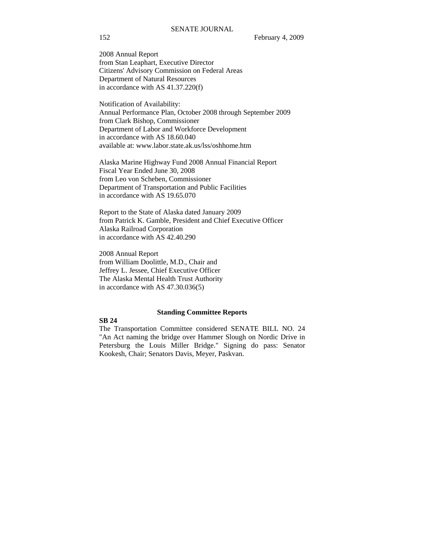2008 Annual Report from Stan Leaphart, Executive Director Citizens' Advisory Commission on Federal Areas Department of Natural Resources in accordance with AS 41.37.220(f)

Notification of Availability: Annual Performance Plan, October 2008 through September 2009 from Clark Bishop, Commissioner Department of Labor and Workforce Development in accordance with AS 18.60.040 available at: www.labor.state.ak.us/lss/oshhome.htm

Alaska Marine Highway Fund 2008 Annual Financial Report Fiscal Year Ended June 30, 2008 from Leo von Scheben, Commissioner Department of Transportation and Public Facilities in accordance with AS 19.65.070

Report to the State of Alaska dated January 2009 from Patrick K. Gamble, President and Chief Executive Officer Alaska Railroad Corporation in accordance with AS 42.40.290

2008 Annual Report from William Doolittle, M.D., Chair and Jeffrey L. Jessee, Chief Executive Officer The Alaska Mental Health Trust Authority in accordance with AS 47.30.036(5)

#### **Standing Committee Reports**

## **SB 24**

The Transportation Committee considered SENATE BILL NO. 24 "An Act naming the bridge over Hammer Slough on Nordic Drive in Petersburg the Louis Miller Bridge." Signing do pass: Senator Kookesh, Chair; Senators Davis, Meyer, Paskvan.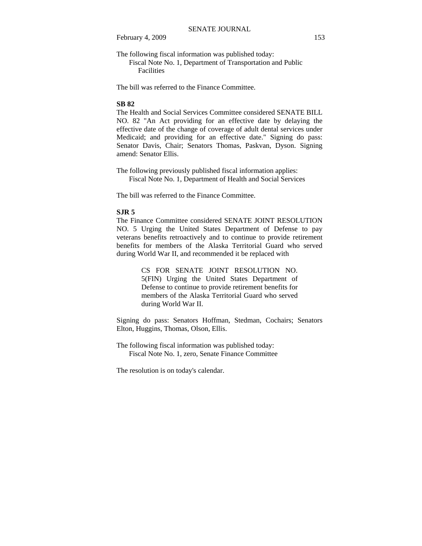The following fiscal information was published today:

 Fiscal Note No. 1, Department of Transportation and Public **Facilities** 

The bill was referred to the Finance Committee.

#### **SB 82**

The Health and Social Services Committee considered SENATE BILL NO. 82 "An Act providing for an effective date by delaying the effective date of the change of coverage of adult dental services under Medicaid; and providing for an effective date." Signing do pass: Senator Davis, Chair; Senators Thomas, Paskvan, Dyson. Signing amend: Senator Ellis.

The following previously published fiscal information applies: Fiscal Note No. 1, Department of Health and Social Services

The bill was referred to the Finance Committee.

# **SJR 5**

The Finance Committee considered SENATE JOINT RESOLUTION NO. 5 Urging the United States Department of Defense to pay veterans benefits retroactively and to continue to provide retirement benefits for members of the Alaska Territorial Guard who served during World War II, and recommended it be replaced with

> CS FOR SENATE JOINT RESOLUTION NO. 5(FIN) Urging the United States Department of Defense to continue to provide retirement benefits for members of the Alaska Territorial Guard who served during World War II.

Signing do pass: Senators Hoffman, Stedman, Cochairs; Senators Elton, Huggins, Thomas, Olson, Ellis.

The following fiscal information was published today: Fiscal Note No. 1, zero, Senate Finance Committee

The resolution is on today's calendar.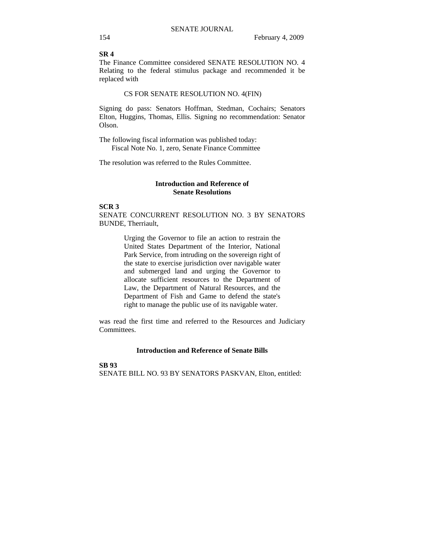## **SR 4**

The Finance Committee considered SENATE RESOLUTION NO. 4 Relating to the federal stimulus package and recommended it be replaced with

#### CS FOR SENATE RESOLUTION NO. 4(FIN)

Signing do pass: Senators Hoffman, Stedman, Cochairs; Senators Elton, Huggins, Thomas, Ellis. Signing no recommendation: Senator Olson.

The following fiscal information was published today: Fiscal Note No. 1, zero, Senate Finance Committee

The resolution was referred to the Rules Committee.

#### **Introduction and Reference of Senate Resolutions**

#### **SCR 3**

SENATE CONCURRENT RESOLUTION NO. 3 BY SENATORS BUNDE, Therriault,

> Urging the Governor to file an action to restrain the United States Department of the Interior, National Park Service, from intruding on the sovereign right of the state to exercise jurisdiction over navigable water and submerged land and urging the Governor to allocate sufficient resources to the Department of Law, the Department of Natural Resources, and the Department of Fish and Game to defend the state's right to manage the public use of its navigable water.

was read the first time and referred to the Resources and Judiciary Committees.

# **Introduction and Reference of Senate Bills**

#### **SB 93**

SENATE BILL NO. 93 BY SENATORS PASKVAN, Elton, entitled: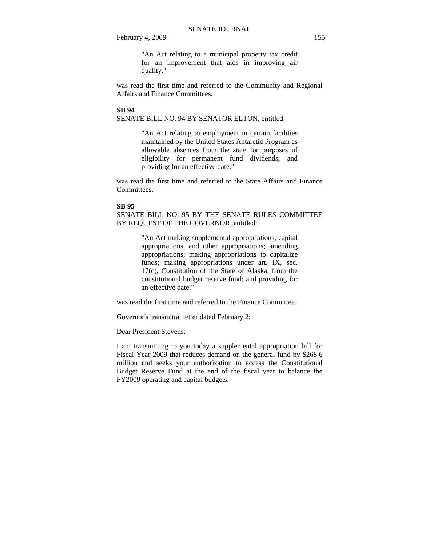"An Act relating to a municipal property tax credit for an improvement that aids in improving air quality."

was read the first time and referred to the Community and Regional Affairs and Finance Committees.

#### **SB 94**

SENATE BILL NO. 94 BY SENATOR ELTON, entitled:

"An Act relating to employment in certain facilities maintained by the United States Antarctic Program as allowable absences from the state for purposes of eligibility for permanent fund dividends; and providing for an effective date."

was read the first time and referred to the State Affairs and Finance Committees.

#### **SB 95**

SENATE BILL NO. 95 BY THE SENATE RULES COMMITTEE BY REQUEST OF THE GOVERNOR, entitled:

> "An Act making supplemental appropriations, capital appropriations, and other appropriations; amending appropriations; making appropriations to capitalize funds; making appropriations under art. IX, sec. 17(c), Constitution of the State of Alaska, from the constitutional budget reserve fund; and providing for an effective date."

was read the first time and referred to the Finance Committee.

Governor's transmittal letter dated February 2:

Dear President Stevens:

I am transmitting to you today a supplemental appropriation bill for Fiscal Year 2009 that reduces demand on the general fund by \$268.6 million and seeks your authorization to access the Constitutional Budget Reserve Fund at the end of the fiscal year to balance the FY2009 operating and capital budgets.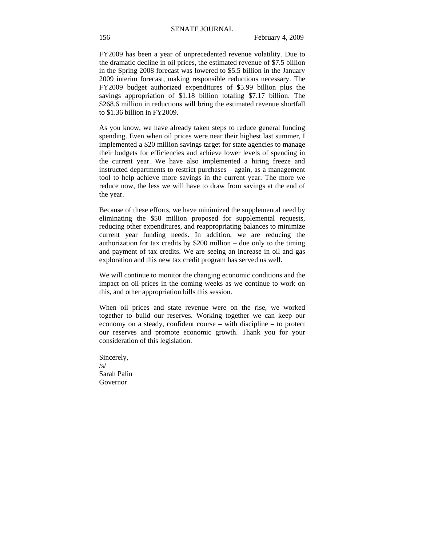FY2009 has been a year of unprecedented revenue volatility. Due to the dramatic decline in oil prices, the estimated revenue of \$7.5 billion in the Spring 2008 forecast was lowered to \$5.5 billion in the January 2009 interim forecast, making responsible reductions necessary. The FY2009 budget authorized expenditures of \$5.99 billion plus the savings appropriation of \$1.18 billion totaling \$7.17 billion. The \$268.6 million in reductions will bring the estimated revenue shortfall to \$1.36 billion in FY2009.

As you know, we have already taken steps to reduce general funding spending. Even when oil prices were near their highest last summer, I implemented a \$20 million savings target for state agencies to manage their budgets for efficiencies and achieve lower levels of spending in the current year. We have also implemented a hiring freeze and instructed departments to restrict purchases – again, as a management tool to help achieve more savings in the current year. The more we reduce now, the less we will have to draw from savings at the end of the year.

Because of these efforts, we have minimized the supplemental need by eliminating the \$50 million proposed for supplemental requests, reducing other expenditures, and reappropriating balances to minimize current year funding needs. In addition, we are reducing the authorization for tax credits by  $$200$  million – due only to the timing and payment of tax credits. We are seeing an increase in oil and gas exploration and this new tax credit program has served us well.

We will continue to monitor the changing economic conditions and the impact on oil prices in the coming weeks as we continue to work on this, and other appropriation bills this session.

When oil prices and state revenue were on the rise, we worked together to build our reserves. Working together we can keep our economy on a steady, confident course – with discipline – to protect our reserves and promote economic growth. Thank you for your consideration of this legislation.

Sincerely,  $/s/$ Sarah Palin Governor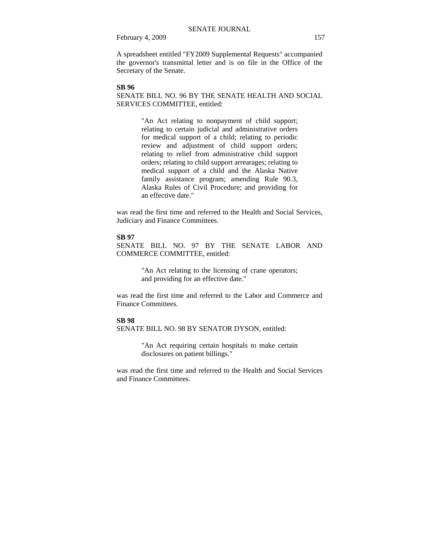A spreadsheet entitled "FY2009 Supplemental Requests" accompanied the governor's transmittal letter and is on file in the Office of the Secretary of the Senate.

#### **SB 96**

SENATE BILL NO. 96 BY THE SENATE HEALTH AND SOCIAL SERVICES COMMITTEE, entitled:

> "An Act relating to nonpayment of child support; relating to certain judicial and administrative orders for medical support of a child; relating to periodic review and adjustment of child support orders; relating to relief from administrative child support orders; relating to child support arrearages; relating to medical support of a child and the Alaska Native family assistance program; amending Rule 90.3, Alaska Rules of Civil Procedure; and providing for an effective date."

was read the first time and referred to the Health and Social Services, Judiciary and Finance Committees.

#### **SB 97**

SENATE BILL NO. 97 BY THE SENATE LABOR AND COMMERCE COMMITTEE, entitled:

> "An Act relating to the licensing of crane operators; and providing for an effective date."

was read the first time and referred to the Labor and Commerce and Finance Committees.

# **SB 98**

SENATE BILL NO. 98 BY SENATOR DYSON, entitled:

"An Act requiring certain hospitals to make certain disclosures on patient billings."

was read the first time and referred to the Health and Social Services and Finance Committees.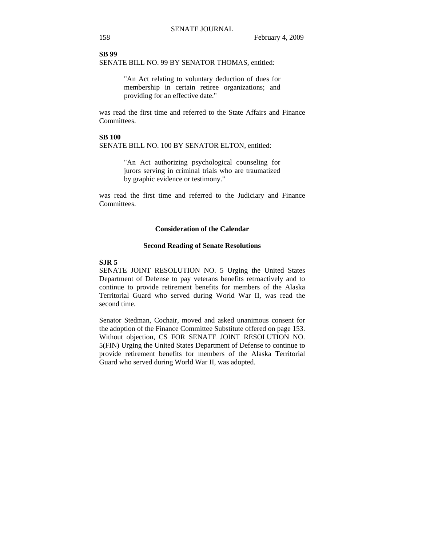**SB 99**  SENATE BILL NO. 99 BY SENATOR THOMAS, entitled:

> "An Act relating to voluntary deduction of dues for membership in certain retiree organizations; and providing for an effective date."

was read the first time and referred to the State Affairs and Finance Committees.

# **SB 100**

SENATE BILL NO. 100 BY SENATOR ELTON, entitled:

"An Act authorizing psychological counseling for jurors serving in criminal trials who are traumatized by graphic evidence or testimony."

was read the first time and referred to the Judiciary and Finance Committees.

# **Consideration of the Calendar**

#### **Second Reading of Senate Resolutions**

## **SJR 5**

SENATE JOINT RESOLUTION NO. 5 Urging the United States Department of Defense to pay veterans benefits retroactively and to continue to provide retirement benefits for members of the Alaska Territorial Guard who served during World War II, was read the second time.

Senator Stedman, Cochair, moved and asked unanimous consent for the adoption of the Finance Committee Substitute offered on page 153. Without objection, CS FOR SENATE JOINT RESOLUTION NO. 5(FIN) Urging the United States Department of Defense to continue to provide retirement benefits for members of the Alaska Territorial Guard who served during World War II, was adopted.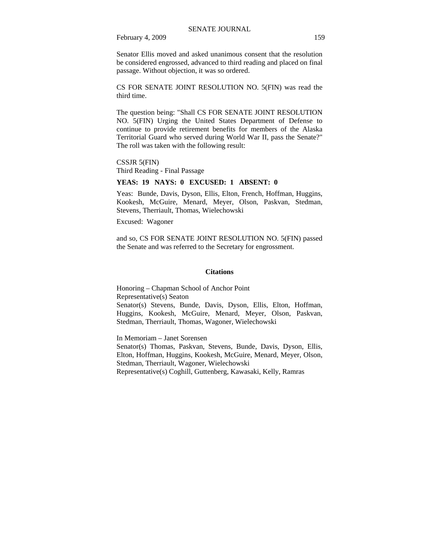Senator Ellis moved and asked unanimous consent that the resolution be considered engrossed, advanced to third reading and placed on final passage. Without objection, it was so ordered.

CS FOR SENATE JOINT RESOLUTION NO. 5(FIN) was read the third time.

The question being: "Shall CS FOR SENATE JOINT RESOLUTION NO. 5(FIN) Urging the United States Department of Defense to continue to provide retirement benefits for members of the Alaska Territorial Guard who served during World War II, pass the Senate?" The roll was taken with the following result:

CSSJR 5(FIN) Third Reading - Final Passage

#### **YEAS: 19 NAYS: 0 EXCUSED: 1 ABSENT: 0**

Yeas: Bunde, Davis, Dyson, Ellis, Elton, French, Hoffman, Huggins, Kookesh, McGuire, Menard, Meyer, Olson, Paskvan, Stedman, Stevens, Therriault, Thomas, Wielechowski

Excused: Wagoner

and so, CS FOR SENATE JOINT RESOLUTION NO. 5(FIN) passed the Senate and was referred to the Secretary for engrossment.

#### **Citations**

Honoring – Chapman School of Anchor Point Representative(s) Seaton Senator(s) Stevens, Bunde, Davis, Dyson, Ellis, Elton, Hoffman, Huggins, Kookesh, McGuire, Menard, Meyer, Olson, Paskvan, Stedman, Therriault, Thomas, Wagoner, Wielechowski

In Memoriam – Janet Sorensen Senator(s) Thomas, Paskvan, Stevens, Bunde, Davis, Dyson, Ellis, Elton, Hoffman, Huggins, Kookesh, McGuire, Menard, Meyer, Olson, Stedman, Therriault, Wagoner, Wielechowski Representative(s) Coghill, Guttenberg, Kawasaki, Kelly, Ramras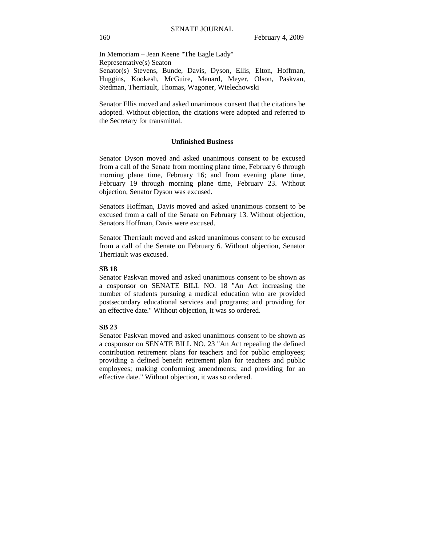In Memoriam – Jean Keene "The Eagle Lady" Representative(s) Seaton Senator(s) Stevens, Bunde, Davis, Dyson, Ellis, Elton, Hoffman, Huggins, Kookesh, McGuire, Menard, Meyer, Olson, Paskvan, Stedman, Therriault, Thomas, Wagoner, Wielechowski

Senator Ellis moved and asked unanimous consent that the citations be adopted. Without objection, the citations were adopted and referred to the Secretary for transmittal.

#### **Unfinished Business**

Senator Dyson moved and asked unanimous consent to be excused from a call of the Senate from morning plane time, February 6 through morning plane time, February 16; and from evening plane time, February 19 through morning plane time, February 23. Without objection, Senator Dyson was excused.

Senators Hoffman, Davis moved and asked unanimous consent to be excused from a call of the Senate on February 13. Without objection, Senators Hoffman, Davis were excused.

Senator Therriault moved and asked unanimous consent to be excused from a call of the Senate on February 6. Without objection, Senator Therriault was excused.

### **SB 18**

Senator Paskvan moved and asked unanimous consent to be shown as a cosponsor on SENATE BILL NO. 18 "An Act increasing the number of students pursuing a medical education who are provided postsecondary educational services and programs; and providing for an effective date." Without objection, it was so ordered.

#### **SB 23**

Senator Paskvan moved and asked unanimous consent to be shown as a cosponsor on SENATE BILL NO. 23 "An Act repealing the defined contribution retirement plans for teachers and for public employees; providing a defined benefit retirement plan for teachers and public employees; making conforming amendments; and providing for an effective date." Without objection, it was so ordered.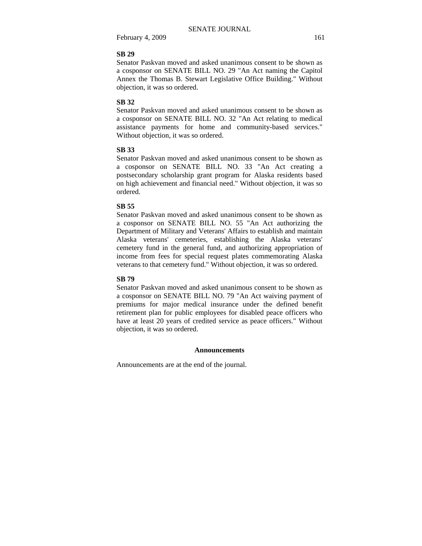#### **SB 29**

Senator Paskvan moved and asked unanimous consent to be shown as a cosponsor on SENATE BILL NO. 29 "An Act naming the Capitol Annex the Thomas B. Stewart Legislative Office Building." Without objection, it was so ordered.

#### **SB 32**

Senator Paskvan moved and asked unanimous consent to be shown as a cosponsor on SENATE BILL NO. 32 "An Act relating to medical assistance payments for home and community-based services." Without objection, it was so ordered.

#### **SB 33**

Senator Paskvan moved and asked unanimous consent to be shown as a cosponsor on SENATE BILL NO. 33 "An Act creating a postsecondary scholarship grant program for Alaska residents based on high achievement and financial need." Without objection, it was so ordered.

#### **SB 55**

Senator Paskvan moved and asked unanimous consent to be shown as a cosponsor on SENATE BILL NO. 55 "An Act authorizing the Department of Military and Veterans' Affairs to establish and maintain Alaska veterans' cemeteries, establishing the Alaska veterans' cemetery fund in the general fund, and authorizing appropriation of income from fees for special request plates commemorating Alaska veterans to that cemetery fund." Without objection, it was so ordered.

### **SB 79**

Senator Paskvan moved and asked unanimous consent to be shown as a cosponsor on SENATE BILL NO. 79 "An Act waiving payment of premiums for major medical insurance under the defined benefit retirement plan for public employees for disabled peace officers who have at least 20 years of credited service as peace officers." Without objection, it was so ordered.

#### **Announcements**

Announcements are at the end of the journal.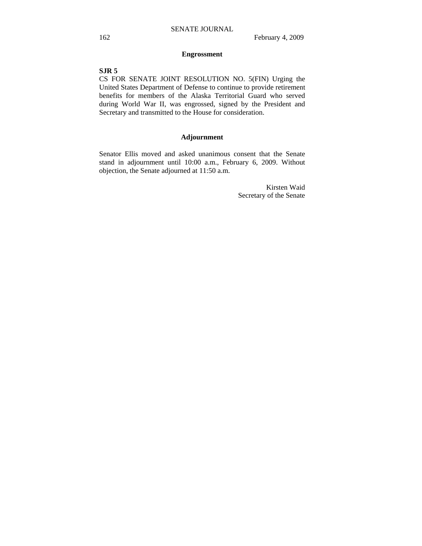## **Engrossment**

# **SJR 5**

CS FOR SENATE JOINT RESOLUTION NO. 5(FIN) Urging the United States Department of Defense to continue to provide retirement benefits for members of the Alaska Territorial Guard who served during World War II, was engrossed, signed by the President and Secretary and transmitted to the House for consideration.

# **Adjournment**

Senator Ellis moved and asked unanimous consent that the Senate stand in adjournment until 10:00 a.m., February 6, 2009. Without objection, the Senate adjourned at 11:50 a.m.

> Kirsten Waid Secretary of the Senate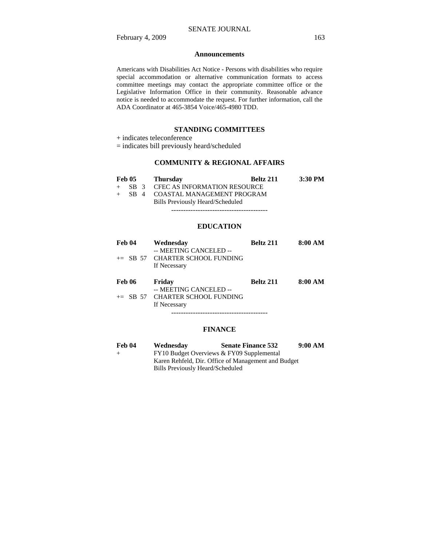#### **Announcements**

Americans with Disabilities Act Notice - Persons with disabilities who require special accommodation or alternative communication formats to access committee meetings may contact the appropriate committee office or the Legislative Information Office in their community. Reasonable advance notice is needed to accommodate the request. For further information, call the ADA Coordinator at 465-3854 Voice/465-4980 TDD.

## **STANDING COMMITTEES**

+ indicates teleconference

= indicates bill previously heard/scheduled

### **COMMUNITY & REGIONAL AFFAIRS**

| Feb 05 | <b>Thursday</b>                   | Beltz 211 | $3:30$ PM |
|--------|-----------------------------------|-----------|-----------|
|        | SB 3 CFEC AS INFORMATION RESOURCE |           |           |
| SB 4   | COASTAL MANAGEMENT PROGRAM        |           |           |
|        | Bills Previously Heard/Scheduled  |           |           |
|        |                                   |           |           |
|        |                                   |           |           |

# **EDUCATION**

| Feb 04        | Wednesday<br>-- MEETING CANCELED --<br>$\pm$ SB 57 CHARTER SCHOOL FUNDING<br>If Necessary | Beltz 211        | 8:00 AM |
|---------------|-------------------------------------------------------------------------------------------|------------------|---------|
| <b>Feb 06</b> | Friday<br>-- MEETING CANCELED --                                                          | <b>Beltz 211</b> | 8:00 AM |
|               | $\pm$ SB 57 CHARTER SCHOOL FUNDING<br>If Necessary                                        |                  |         |
|               |                                                                                           |                  |         |

### **FINANCE**

| <b>Feb 04</b> | Wednesday                        | <b>Senate Finance 532</b>                           | 9:00 AM |
|---------------|----------------------------------|-----------------------------------------------------|---------|
| $^{+}$        |                                  | FY10 Budget Overviews & FY09 Supplemental           |         |
|               |                                  | Karen Rehfeld, Dir. Office of Management and Budget |         |
|               | Bills Previously Heard/Scheduled |                                                     |         |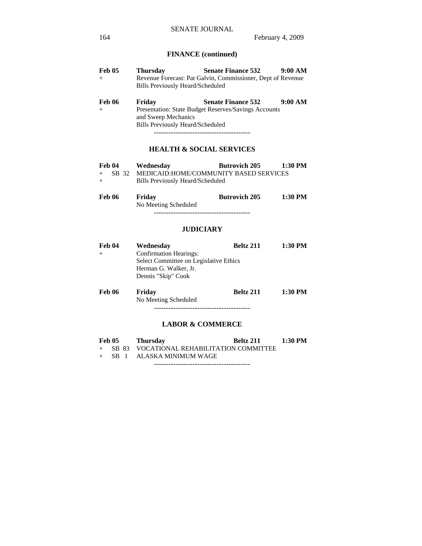# **FINANCE (continued)**

| Feb 05        | <b>Thursday</b>                         | <b>Senate Finance 532</b>                                   | 9:00 AM |
|---------------|-----------------------------------------|-------------------------------------------------------------|---------|
| $+$           |                                         | Revenue Forecast: Pat Galvin, Commissioner, Dept of Revenue |         |
|               | <b>Bills Previously Heard/Scheduled</b> |                                                             |         |
| <b>Feb 06</b> | Friday                                  | <b>Senate Finance 532</b>                                   | 9:00 AM |
| $+$           |                                         | Presentation: State Budget Reserves/Savings Accounts        |         |
|               | and Sweep Mechanics                     |                                                             |         |
|               | <b>Bills Previously Heard/Scheduled</b> |                                                             |         |
|               |                                         |                                                             |         |

# **HEALTH & SOCIAL SERVICES**

|     | Feb 04 | Wednesday                        | <b>Butrovich 205</b>                           | $1:30$ PM |
|-----|--------|----------------------------------|------------------------------------------------|-----------|
|     |        |                                  | + SB 32 MEDICAID:HOME/COMMUNITY BASED SERVICES |           |
| $+$ |        | Bills Previously Heard/Scheduled |                                                |           |

| <b>Feb 06</b> | Friday               | <b>Butrovich 205</b> | 1:30 PM |
|---------------|----------------------|----------------------|---------|
|               | No Meeting Scheduled |                      |         |
|               |                      |                      |         |

# **JUDICIARY**

| Feb 04 | Wednesday                              | <b>Beltz 211</b> | 1:30 PM |
|--------|----------------------------------------|------------------|---------|
| $+$    | <b>Confirmation Hearings:</b>          |                  |         |
|        | Select Committee on Legislative Ethics |                  |         |
|        | Herman G. Walker, Jr.                  |                  |         |
|        | Dennis "Skip" Cook                     |                  |         |
| Feb 06 | Friday                                 | <b>Beltz 211</b> | 1:30 PM |

No Meeting Scheduled

----------------------------------------

# **LABOR & COMMERCE**

| <b>Feb 05</b> | <b>Thursday</b>                             | Beltz 211 | 1:30 PM |
|---------------|---------------------------------------------|-----------|---------|
|               | + SB 83 VOCATIONAL REHABILITATION COMMITTEE |           |         |
|               | + SB 1 ALASKA MINIMUM WAGE                  |           |         |

----------------------------------------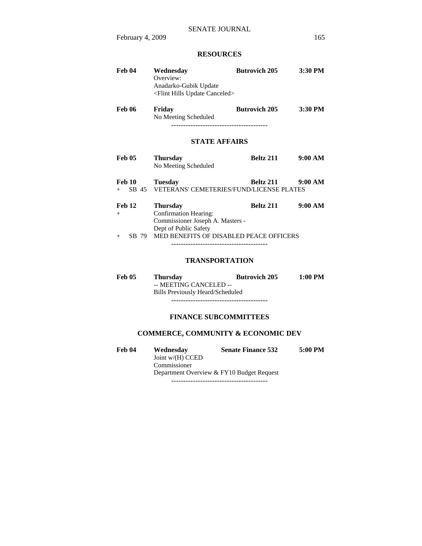# **RESOURCES**

| Feb 04                                  | Wednesday<br>Overview:<br>Anadarko-Gubik Update<br><flint canceled="" hills="" update=""></flint>                                                       | <b>Butrovich 205</b> | 3:30 PM |
|-----------------------------------------|---------------------------------------------------------------------------------------------------------------------------------------------------------|----------------------|---------|
| <b>Feb 06</b>                           | Friday<br>No Meeting Scheduled                                                                                                                          | <b>Butrovich 205</b> | 3:30 PM |
|                                         | <b>STATE AFFAIRS</b>                                                                                                                                    |                      |         |
| <b>Feb 05</b>                           | <b>Thursday</b><br>No Meeting Scheduled                                                                                                                 | Beltz 211            | 9:00 AM |
| <b>Feb 10</b><br>SB 45<br>$+$ $-$       | <b>Tuesday</b><br><b>VETERANS' CEMETERIES/FUND/LICENSE PLATES</b>                                                                                       | Beltz 211            | 9:00 AM |
| <b>Feb 12</b><br>$^{+}$<br>SB 79<br>$+$ | <b>Thursday</b><br><b>Confirmation Hearing:</b><br>Commissioner Joseph A. Masters -<br>Dept of Public Safety<br>MED BENEFITS OF DISABLED PEACE OFFICERS | Beltz 211            | 9:00 AM |
|                                         | <b>TRANSPORTATION</b>                                                                                                                                   |                      |         |
| <b>Feb 05</b>                           | <b>Thursday</b><br>-- MEETING CANCELED --<br><b>Bills Previously Heard/Scheduled</b>                                                                    | <b>Butrovich 205</b> | 1:00 PM |

----------------------------------------

# **FINANCE SUBCOMMITTEES**

# **COMMERCE, COMMUNITY & ECONOMIC DEV**

| Feb 04 | Wednesday          | <b>Senate Finance 532</b>                 | 5:00 PM |
|--------|--------------------|-------------------------------------------|---------|
|        | Joint $w/(H)$ CCED |                                           |         |
|        | Commissioner       |                                           |         |
|        |                    | Department Overview & FY10 Budget Request |         |
|        |                    |                                           |         |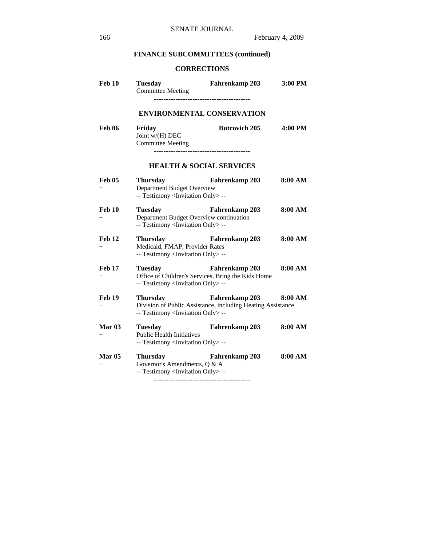# **FINANCE SUBCOMMITTEES (continued)**

# **CORRECTIONS**

| Feb 10                  | <b>Tuesday</b><br><b>Committee Meeting</b>                                                                     | Fahrenkamp 203                                                                       | 3:00 PM |
|-------------------------|----------------------------------------------------------------------------------------------------------------|--------------------------------------------------------------------------------------|---------|
|                         | <b>ENVIRONMENTAL CONSERVATION</b>                                                                              |                                                                                      |         |
| Feb 06                  | Friday<br>Joint $w/(H)$ DEC<br><b>Committee Meeting</b>                                                        | <b>Butrovich 205</b>                                                                 | 4:00 PM |
|                         | <b>HEALTH &amp; SOCIAL SERVICES</b>                                                                            |                                                                                      |         |
| Feb 05<br>$^{+}$        | <b>Thursday</b><br>Department Budget Overview<br>-- Testimony <invitation only=""> --</invitation>             | <b>Fahrenkamp 203</b>                                                                | 8:00 AM |
| Feb 10<br>$^{+}$        | <b>Tuesday</b><br>Department Budget Overview continuation<br>-- Testimony <invitation only=""> --</invitation> | <b>Fahrenkamp 203</b>                                                                | 8:00 AM |
| Feb 12<br>$^{+}$        | <b>Thursday</b><br>Medicaid, FMAP, Provider Rates<br>-- Testimony <invitation only=""> --</invitation>         | Fahrenkamp 203                                                                       | 8:00 AM |
| Feb 17<br>$^{+}$        | <b>Tuesday</b><br>-- Testimony <invitation only=""> --</invitation>                                            | <b>Fahrenkamp 203</b><br>Office of Children's Services, Bring the Kids Home          | 8:00 AM |
| Feb 19<br>$^{+}$        | <b>Thursday</b><br>-- Testimony <invitation only=""> --</invitation>                                           | <b>Fahrenkamp 203</b><br>Division of Public Assistance, including Heating Assistance | 8:00 AM |
| <b>Mar 03</b><br>$+$    | <b>Tuesday</b><br><b>Public Health Initiatives</b><br>-- Testimony <invitation only=""> --</invitation>        | Fahrenkamp 203                                                                       | 8:00 AM |
| <b>Mar 05</b><br>$^{+}$ | <b>Thursday</b><br>Governor's Amendments, Q & A<br>-- Testimony <invitation only=""> --</invitation>           | Fahrenkamp 203                                                                       | 8:00 AM |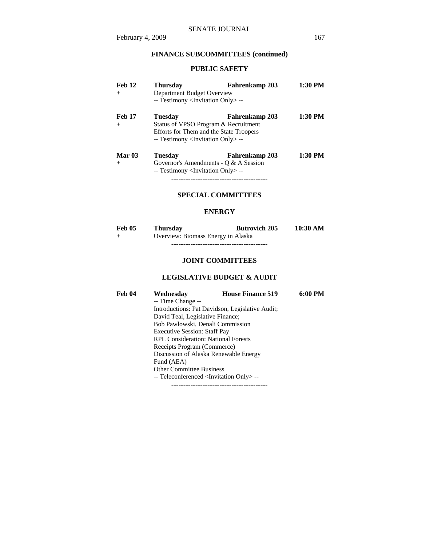# **FINANCE SUBCOMMITTEES (continued)**

# **PUBLIC SAFETY**

| Feb 12<br>$^{+}$        | <b>Thursday</b><br>Department Budget Overview                                                                                                                     | Fahrenkamp 203                                                   | 1:30 PM |
|-------------------------|-------------------------------------------------------------------------------------------------------------------------------------------------------------------|------------------------------------------------------------------|---------|
|                         | -- Testimony <invitation only=""> --</invitation>                                                                                                                 |                                                                  |         |
| <b>Feb 17</b><br>$+$    | Tuesdav<br>Fahrenkamp 203<br>Status of VPSO Program & Recruitment<br>Efforts for Them and the State Troopers<br>-- Testimony <invitation only=""> --</invitation> |                                                                  | 1:30 PM |
| <b>Mar 03</b><br>$^{+}$ | <b>Tuesday</b><br>-- Testimony <invitation only=""> --</invitation>                                                                                               | <b>Fahrenkamp 203</b><br>Governor's Amendments - $Q & A$ Session | 1:30 PM |

----------------------------------------

# **SPECIAL COMMITTEES**

### **ENERGY**

| <b>Feb 05</b> | <b>Thursday</b>                    | <b>Butrovich 205</b> | 10:30 AM |
|---------------|------------------------------------|----------------------|----------|
| $+$           | Overview: Biomass Energy in Alaska |                      |          |
|               |                                    |                      |          |

# **JOINT COMMITTEES**

# **LEGISLATIVE BUDGET & AUDIT**

| Feb 04 | Wednesday                                               | <b>House Finance 519</b> | 6:00 PM |
|--------|---------------------------------------------------------|--------------------------|---------|
|        | -- Time Change --                                       |                          |         |
|        | Introductions: Pat Davidson, Legislative Audit;         |                          |         |
|        | David Teal, Legislative Finance;                        |                          |         |
|        | Bob Pawlowski, Denali Commission                        |                          |         |
|        | <b>Executive Session: Staff Pay</b>                     |                          |         |
|        | <b>RPL Consideration: National Forests</b>              |                          |         |
|        | Receipts Program (Commerce)                             |                          |         |
|        | Discussion of Alaska Renewable Energy                   |                          |         |
|        | Fund (AEA)                                              |                          |         |
|        | <b>Other Committee Business</b>                         |                          |         |
|        | -- Teleconferenced <invitation only=""> --</invitation> |                          |         |
|        |                                                         |                          |         |